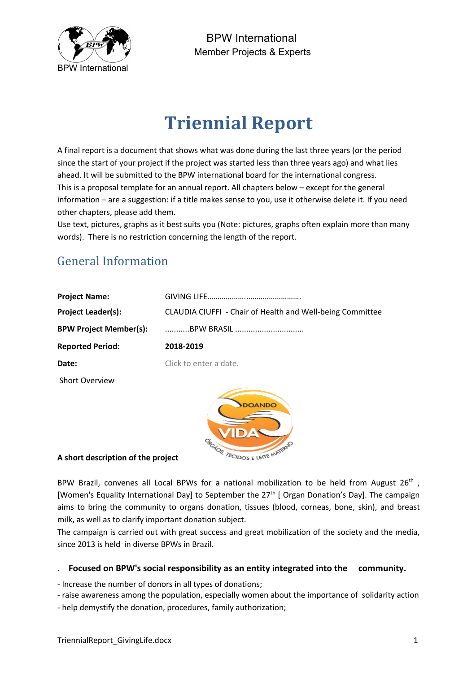

BPW International Member Projects & Experts

# **Triennial Report**

A final report is a document that shows what was done during the last three years (or the period since the start of your project if the project was started less than three years ago) and what lies ahead. It will be submitted to the BPW international board for the international congress. This is a proposal template for an annual report. All chapters below – except for the general information – are a suggestion: if a title makes sense to you, use it otherwise delete it. If you need other chapters, please add them.

Use text, pictures, graphs as it best suits you (Note: pictures, graphs often explain more than many words). There is no restriction concerning the length of the report.

## General Information

| <b>Project Name:</b>          |                                                           |
|-------------------------------|-----------------------------------------------------------|
| <b>Project Leader(s):</b>     | CLAUDIA CIUFFI - Chair of Health and Well-being Committee |
| <b>BPW Project Member(s):</b> | BPW BRASIL                                                |
| <b>Reported Period:</b>       | 2018-2019                                                 |
| Date:                         | Click to enter a date.                                    |
| <b>Short Overview</b>         |                                                           |
|                               |                                                           |

## **A short description of the project**

BPW Brazil, convenes all Local BPWs for a national mobilization to be held from August  $26^{th}$ , [Women's Equality International Day] to September the 27<sup>th</sup> [ Organ Donation's Day]. The campaign aims to bring the community to organs donation, tissues (blood, corneas, bone, skin), and breast milk, as well as to clarify important donation subject.

OS TECIDOS E LEITE MATE

The campaign is carried out with great success and great mobilization of the society and the media, since 2013 is held in diverse BPWs in Brazil.

## **. Focused on BPW's social responsibility as an entity integrated into the community.**

- Increase the number of donors in all types of donations;

- raise awareness among the population, especially women about the importance of solidarity action
- help demystify the donation, procedures, family authorization;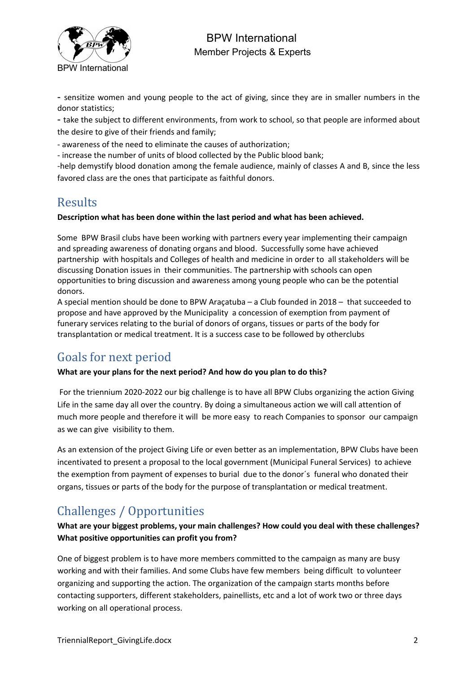

BPW International Member Projects & Experts

- sensitize women and young people to the act of giving, since they are in smaller numbers in the donor statistics;

- take the subject to different environments, from work to school, so that people are informed about the desire to give of their friends and family;

- awareness of the need to eliminate the causes of authorization;

- increase the number of units of blood collected by the Public blood bank;

-help demystify blood donation among the female audience, mainly of classes A and B, since the less favored class are the ones that participate as faithful donors.

## Results

#### **Description what has been done within the last period and what has been achieved.**

Some BPW Brasil clubs have been working with partners every year implementing their campaign and spreading awareness of donating organs and blood. Successfully some have achieved partnership with hospitals and Colleges of health and medicine in order to all stakeholders will be discussing Donation issues in their communities. The partnership with schools can open opportunities to bring discussion and awareness among young people who can be the potential donors.

A special mention should be done to BPW Araçatuba – a Club founded in 2018 – that succeeded to propose and have approved by the Municipality a concession of exemption from payment of funerary services relating to the burial of donors of organs, tissues or parts of the body for transplantation or medical treatment. It is a success case to be followed by otherclubs

## Goals for next period

#### **What are your plans for the next period? And how do you plan to do this?**

For the triennium 2020-2022 our big challenge is to have all BPW Clubs organizing the action Giving Life in the same day all over the country. By doing a simultaneous action we will call attention of much more people and therefore it will be more easy to reach Companies to sponsor our campaign as we can give visibility to them.

As an extension of the project Giving Life or even better as an implementation, BPW Clubs have been incentivated to present a proposal to the local government (Municipal Funeral Services) to achieve the exemption from payment of expenses to burial due to the donor´s funeral who donated their organs, tissues or parts of the body for the purpose of transplantation or medical treatment.

# Challenges / Opportunities

**What are your biggest problems, your main challenges? How could you deal with these challenges? What positive opportunities can profit you from?**

One of biggest problem is to have more members committed to the campaign as many are busy working and with their families. And some Clubs have few members being difficult to volunteer organizing and supporting the action. The organization of the campaign starts months before contacting supporters, different stakeholders, painellists, etc and a lot of work two or three days working on all operational process.